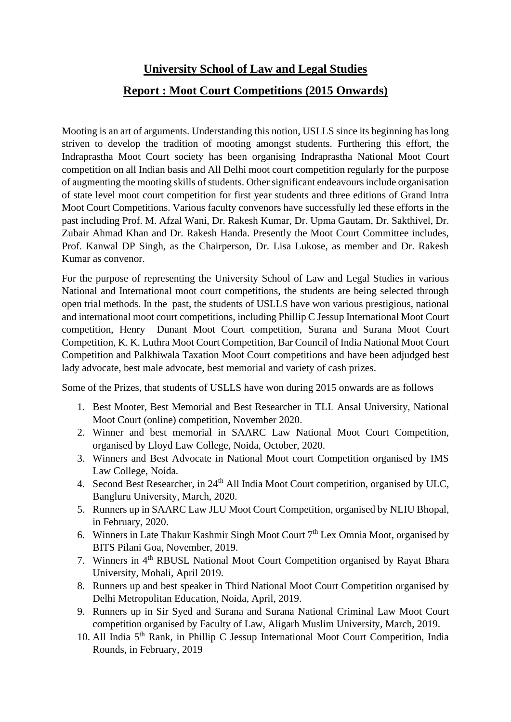## **University School of Law and Legal Studies Report : Moot Court Competitions (2015 Onwards)**

Mooting is an art of arguments. Understanding this notion, USLLS since its beginning has long striven to develop the tradition of mooting amongst students. Furthering this effort, the Indraprastha Moot Court society has been organising Indraprastha National Moot Court competition on all Indian basis and All Delhi moot court competition regularly for the purpose of augmenting the mooting skills of students. Other significant endeavours include organisation of state level moot court competition for first year students and three editions of Grand Intra Moot Court Competitions. Various faculty convenors have successfully led these efforts in the past including Prof. M. Afzal Wani, Dr. Rakesh Kumar, Dr. Upma Gautam, Dr. Sakthivel, Dr. Zubair Ahmad Khan and Dr. Rakesh Handa. Presently the Moot Court Committee includes, Prof. Kanwal DP Singh, as the Chairperson, Dr. Lisa Lukose, as member and Dr. Rakesh Kumar as convenor.

For the purpose of representing the University School of Law and Legal Studies in various National and International moot court competitions, the students are being selected through open trial methods. In the past, the students of USLLS have won various prestigious, national and international moot court competitions, including Phillip C Jessup International Moot Court competition, Henry Dunant Moot Court competition, Surana and Surana Moot Court Competition, K. K. Luthra Moot Court Competition, Bar Council of India National Moot Court Competition and Palkhiwala Taxation Moot Court competitions and have been adjudged best lady advocate, best male advocate, best memorial and variety of cash prizes.

Some of the Prizes, that students of USLLS have won during 2015 onwards are as follows

- 1. Best Mooter, Best Memorial and Best Researcher in TLL Ansal University, National Moot Court (online) competition, November 2020.
- 2. Winner and best memorial in SAARC Law National Moot Court Competition, organised by Lloyd Law College, Noida, October, 2020.
- 3. Winners and Best Advocate in National Moot court Competition organised by IMS Law College, Noida.
- 4. Second Best Researcher, in 24<sup>th</sup> All India Moot Court competition, organised by ULC, Bangluru University, March, 2020.
- 5. Runners up in SAARC Law JLU Moot Court Competition, organised by NLIU Bhopal, in February, 2020.
- 6. Winners in Late Thakur Kashmir Singh Moot Court 7th Lex Omnia Moot, organised by BITS Pilani Goa, November, 2019.
- 7. Winners in 4th RBUSL National Moot Court Competition organised by Rayat Bhara University, Mohali, April 2019.
- 8. Runners up and best speaker in Third National Moot Court Competition organised by Delhi Metropolitan Education, Noida, April, 2019.
- 9. Runners up in Sir Syed and Surana and Surana National Criminal Law Moot Court competition organised by Faculty of Law, Aligarh Muslim University, March, 2019.
- 10. All India 5th Rank, in Phillip C Jessup International Moot Court Competition, India Rounds, in February, 2019